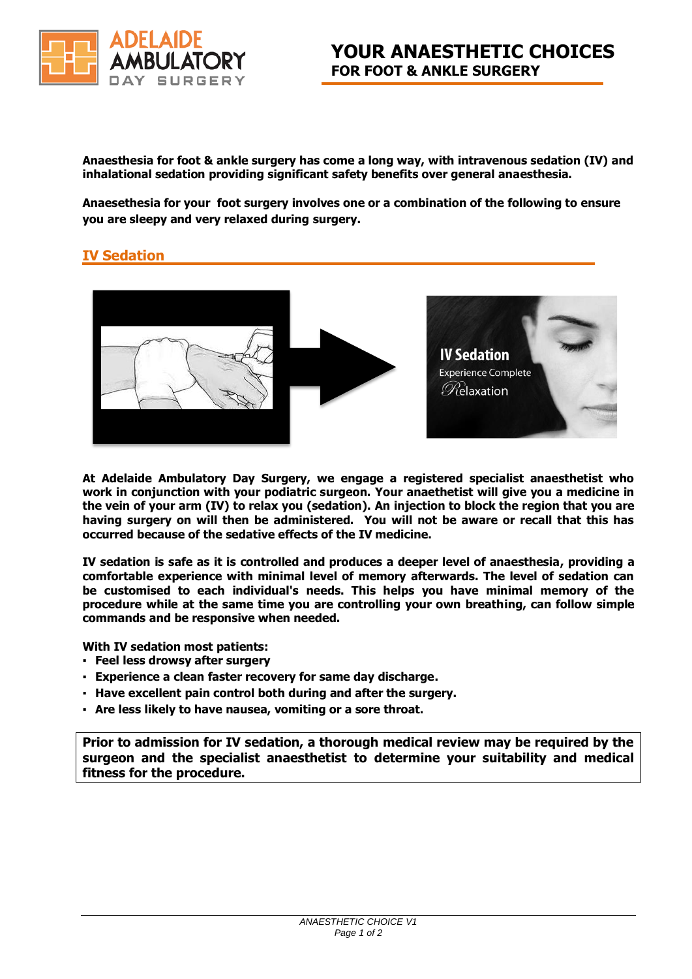

**Anaesthesia for foot & ankle surgery has come a long way, with intravenous sedation (IV) and inhalational sedation providing significant safety benefits over general anaesthesia.** 

**Anaesethesia for your foot surgery involves one or a combination of the following to ensure you are sleepy and very relaxed during surgery.**

## **IV Sedation**



**At Adelaide Ambulatory Day Surgery, we engage a registered specialist anaesthetist who work in conjunction with your podiatric surgeon. Your anaethetist will give you a medicine in the vein of your arm (IV) to relax you (sedation). An injection to block the region that you are having surgery on will then be administered. You will not be aware or recall that this has occurred because of the sedative effects of the IV medicine.** 

**IV sedation is safe as it is controlled and produces a deeper level of anaesthesia, providing a comfortable experience with minimal level of memory afterwards. The level of sedation can be customised to each individual's needs. This helps you have minimal memory of the procedure while at the same time you are controlling your own breathing, can follow simple commands and be responsive when needed.**

**With IV sedation most patients:**

- **Feel less drowsy after surgery**
- **Experience a clean faster recovery for same day discharge.**
- **Have excellent pain control both during and after the surgery.**
- **Are less likely to have nausea, vomiting or a sore throat.**

**Prior to admission for IV sedation, a thorough medical review may be required by the surgeon and the specialist anaesthetist to determine your suitability and medical fitness for the procedure.**